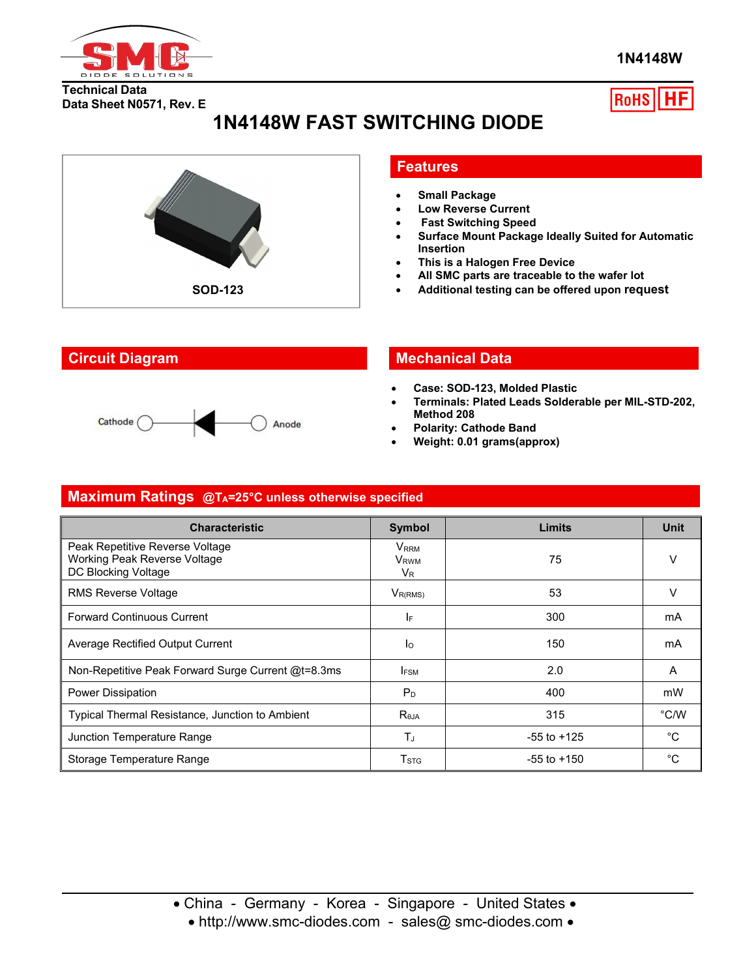

**1N4148W**

**Technical Data Data Sheet N0571, Rev. E**

# **RoHS**

# **1N4148W FAST SWITCHING DIODE**



#### **Features**

- **Small Package**
- **Low Reverse Current**
- **Fast Switching Speed**
- **Surface Mount Package Ideally Suited for Automatic Insertion**
- **This is a Halogen Free Device**
- **All SMC parts are traceable to the wafer lot**
- **Additional testing can be offered upon request**

#### Cathode ( Anode

## **Circuit Diagram Mechanical Data**

- **Case: SOD-123, Molded Plastic**
- **Terminals: Plated Leads Solderable per MIL-STD-202, Method 208**
- **Polarity: Cathode Band**
- **Weight: 0.01 grams(approx)**

#### **Maximum Ratings @TA=25°C unless otherwise specified**

| <b>Characteristic</b>                                                                  | <b>Symbol</b>                                   | Limits          | <b>Unit</b>    |
|----------------------------------------------------------------------------------------|-------------------------------------------------|-----------------|----------------|
| Peak Repetitive Reverse Voltage<br>Working Peak Reverse Voltage<br>DC Blocking Voltage | V <sub>RRM</sub><br>V <sub>RWM</sub><br>$V_{R}$ | 75              | V              |
| <b>RMS Reverse Voltage</b>                                                             | $V_{R(RMS)}$                                    | 53              | $\vee$         |
| <b>Forward Continuous Current</b>                                                      | IF                                              | 300             | mA             |
| Average Rectified Output Current                                                       | Ιo                                              | 150             | mA             |
| Non-Repetitive Peak Forward Surge Current @t=8.3ms                                     | I <sub>FSM</sub>                                | 2.0             | $\overline{A}$ |
| Power Dissipation                                                                      | P <sub>D</sub>                                  | 400             | mW             |
| Typical Thermal Resistance, Junction to Ambient                                        | $R_{\theta JA}$                                 | 315             | $\degree$ C/W  |
| Junction Temperature Range                                                             | $T_J$                                           | $-55$ to $+125$ | $^{\circ}C$    |
| Storage Temperature Range                                                              | T <sub>STG</sub>                                | $-55$ to $+150$ | $^{\circ}C$    |

• http://www.smc-diodes.com - sales@ smc-diodes.com •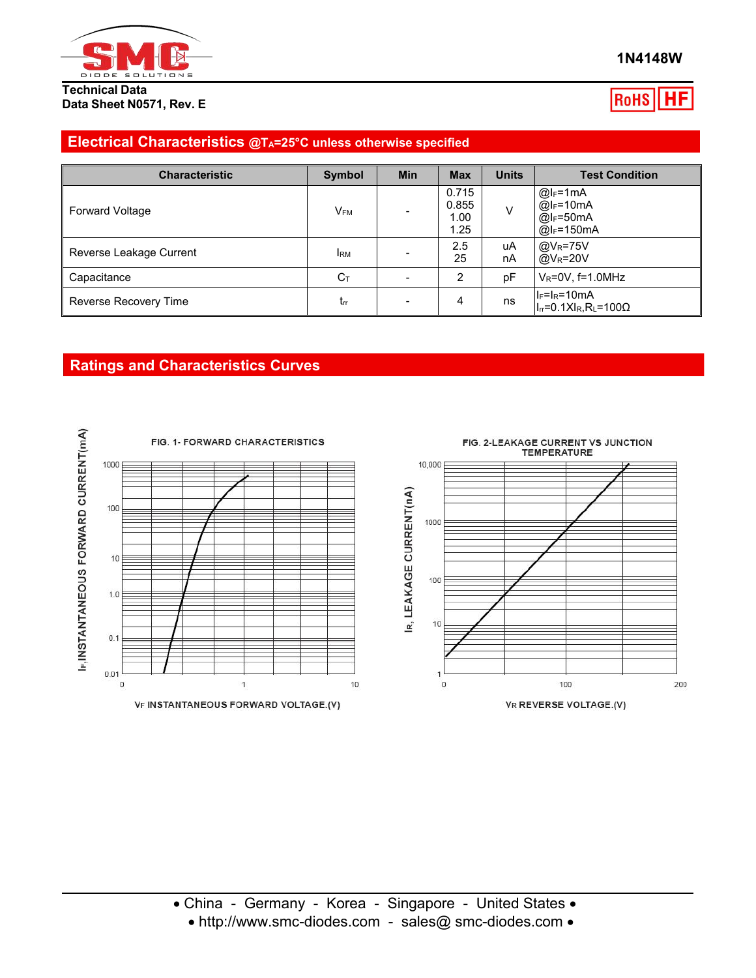

**Technical Data Data Sheet N0571, Rev. E**

#### RoHS ΗЕ

#### **Electrical Characteristics @TA=25°C unless otherwise specified**

| <b>Characteristic</b>   | <b>Symbol</b>            | <b>Min</b> | <b>Max</b>                     | <b>Units</b> | <b>Test Condition</b>                                         |
|-------------------------|--------------------------|------------|--------------------------------|--------------|---------------------------------------------------------------|
| <b>Forward Voltage</b>  | $\mathsf{V}_\mathsf{FM}$ |            | 0.715<br>0.855<br>1.00<br>1.25 | V            | $@I_F=1mA$<br>$@I_F = 10mA$<br>$@I_F=50mA$<br>@ $I_F = 150mA$ |
| Reverse Leakage Current | <b>IRM</b>               |            | 2.5<br>25                      | uA<br>nA     | $@V_R = 75V$<br>$\omega_{\rm R}$ =20V                         |
| Capacitance             | $C_{\text{T}}$           |            | ◠                              | pF           | $V_R = 0V$ , f=1.0MHz                                         |
| Reverse Recovery Time   | Irr                      |            | 4                              | ns           | $ I_F=I_R=10mA$<br>$ I_{rr}=0.1XI_R, R_L=100\Omega$           |

## **Ratings and Characteristics Curves**

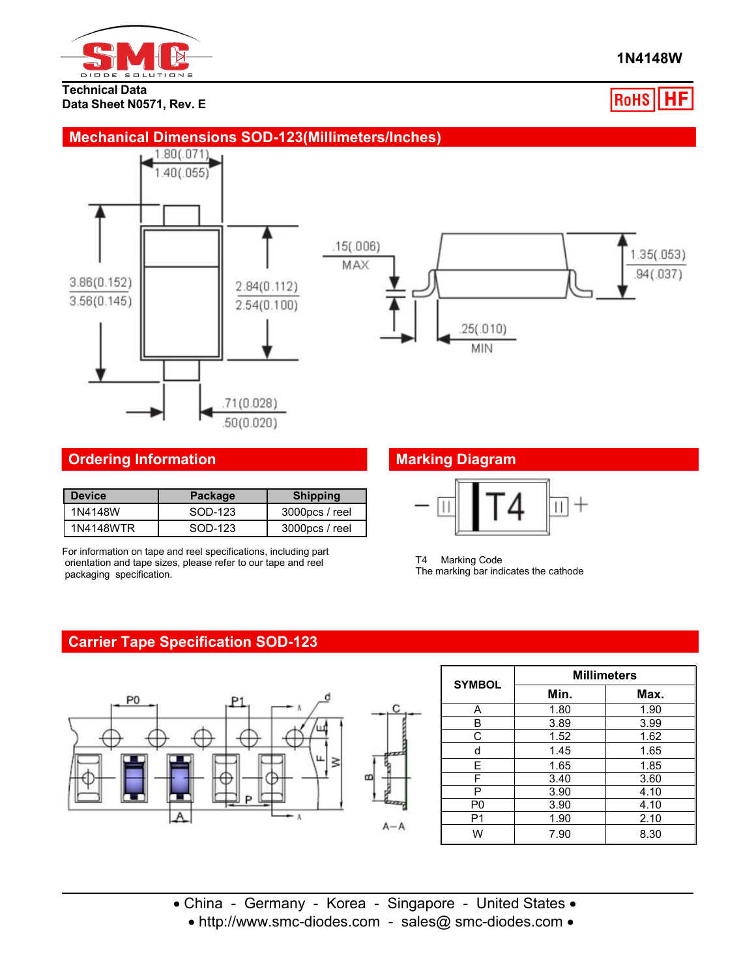

#### **Technical Data Data Sheet N0571, Rev. E**

#### **1N4148W**

**RoHS** НF

## **Mechanical Dimensions SOD-123(Millimeters/Inches)**





### **Ordering Information Marking Diagram**

| l Device  | Package | <b>Shipping</b>   |  |
|-----------|---------|-------------------|--|
| 1N4148W   | SOD-123 | 3000pcs / reel    |  |
| 1N4148WTR | SOD-123 | $3000$ pcs / reel |  |

For information on tape and reel specifications, including part orientation and tape sizes, please refer to our tape and reel packaging specification.



T4 Marking Code The marking bar indicates the cathode

### **Carrier Tape Specification SOD-123**



| <b>SYMBOL</b>  | <b>Millimeters</b> |      |  |  |  |
|----------------|--------------------|------|--|--|--|
|                | Min.               | Max. |  |  |  |
| А              | 1.80               | 1.90 |  |  |  |
| в              | 3.89               | 3.99 |  |  |  |
| С              | 1.52               | 1.62 |  |  |  |
| d              | 1.45               | 1.65 |  |  |  |
| F              | 1.65               | 1.85 |  |  |  |
| F              | 3.40               | 3.60 |  |  |  |
| P              | 3.90               | 4.10 |  |  |  |
| P <sub>0</sub> | 3.90               | 4.10 |  |  |  |
| P <sub>1</sub> | 1.90               | 2.10 |  |  |  |
| W              | 7.90               | 8.30 |  |  |  |

- China Germany Korea Singapore United States
	- http://www.smc-diodes.com sales@ smc-diodes.com •